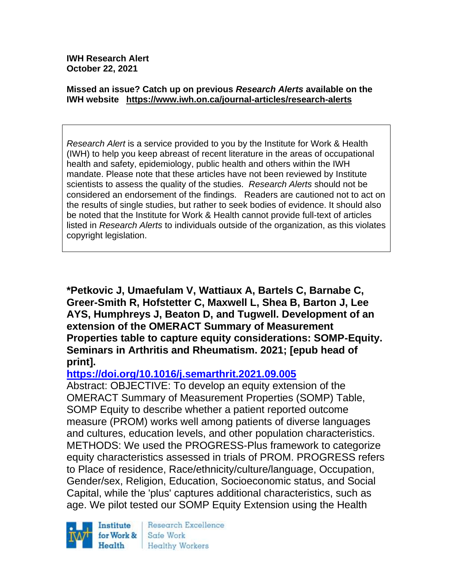**IWH Research Alert October 22, 2021**

#### **Missed an issue? Catch up on previous** *Research Alerts* **available on the [IWH website](http://www.iwh.on.ca/research-alerts) <https://www.iwh.on.ca/journal-articles/research-alerts>**

*Research Alert* is a service provided to you by the Institute for Work & Health (IWH) to help you keep abreast of recent literature in the areas of occupational health and safety, epidemiology, public health and others within the IWH mandate. Please note that these articles have not been reviewed by Institute scientists to assess the quality of the studies. *Research Alerts* should not be considered an endorsement of the findings. Readers are cautioned not to act on the results of single studies, but rather to seek bodies of evidence. It should also be noted that the Institute for Work & Health cannot provide full-text of articles listed in *Research Alerts* to individuals outside of the organization, as this violates copyright legislation.

**\*Petkovic J, Umaefulam V, Wattiaux A, Bartels C, Barnabe C, Greer-Smith R, Hofstetter C, Maxwell L, Shea B, Barton J, Lee AYS, Humphreys J, Beaton D, and Tugwell. Development of an extension of the OMERACT Summary of Measurement Properties table to capture equity considerations: SOMP-Equity. Seminars in Arthritis and Rheumatism. 2021; [epub head of print].**

### **<https://doi.org/10.1016/j.semarthrit.2021.09.005>**

Abstract: OBJECTIVE: To develop an equity extension of the OMERACT Summary of Measurement Properties (SOMP) Table, SOMP Equity to describe whether a patient reported outcome measure (PROM) works well among patients of diverse languages and cultures, education levels, and other population characteristics. METHODS: We used the PROGRESS-Plus framework to categorize equity characteristics assessed in trials of PROM. PROGRESS refers to Place of residence, Race/ethnicity/culture/language, Occupation, Gender/sex, Religion, Education, Socioeconomic status, and Social Capital, while the 'plus' captures additional characteristics, such as age. We pilot tested our SOMP Equity Extension using the Health



Research Excellence Safe Work Healthy Workers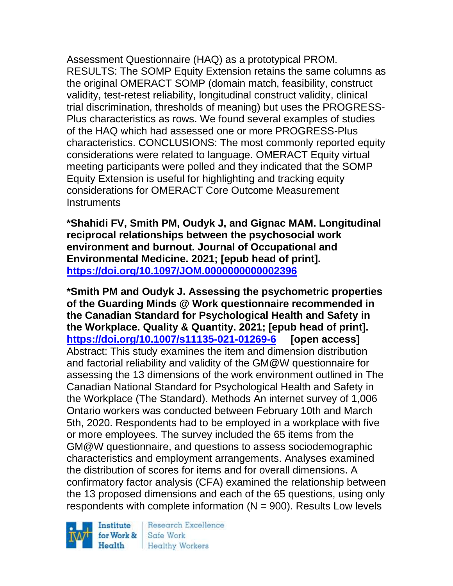Assessment Questionnaire (HAQ) as a prototypical PROM. RESULTS: The SOMP Equity Extension retains the same columns as the original OMERACT SOMP (domain match, feasibility, construct validity, test-retest reliability, longitudinal construct validity, clinical trial discrimination, thresholds of meaning) but uses the PROGRESS-Plus characteristics as rows. We found several examples of studies of the HAQ which had assessed one or more PROGRESS-Plus characteristics. CONCLUSIONS: The most commonly reported equity considerations were related to language. OMERACT Equity virtual meeting participants were polled and they indicated that the SOMP Equity Extension is useful for highlighting and tracking equity considerations for OMERACT Core Outcome Measurement **Instruments** 

**\*Shahidi FV, Smith PM, Oudyk J, and Gignac MAM. Longitudinal reciprocal relationships between the psychosocial work environment and burnout. Journal of Occupational and Environmental Medicine. 2021; [epub head of print]. <https://doi.org/10.1097/JOM.0000000000002396>** 

**\*Smith PM and Oudyk J. Assessing the psychometric properties of the Guarding Minds @ Work questionnaire recommended in the Canadian Standard for Psychological Health and Safety in the Workplace. Quality & Quantity. 2021; [epub head of print]. <https://doi.org/10.1007/s11135-021-01269-6> [open access]** Abstract: This study examines the item and dimension distribution and factorial reliability and validity of the GM@W questionnaire for assessing the 13 dimensions of the work environment outlined in The Canadian National Standard for Psychological Health and Safety in the Workplace (The Standard). Methods An internet survey of 1,006 Ontario workers was conducted between February 10th and March 5th, 2020. Respondents had to be employed in a workplace with five or more employees. The survey included the 65 items from the GM@W questionnaire, and questions to assess sociodemographic characteristics and employment arrangements. Analyses examined the distribution of scores for items and for overall dimensions. A confirmatory factor analysis (CFA) examined the relationship between the 13 proposed dimensions and each of the 65 questions, using only respondents with complete information  $(N = 900)$ . Results Low levels

Institute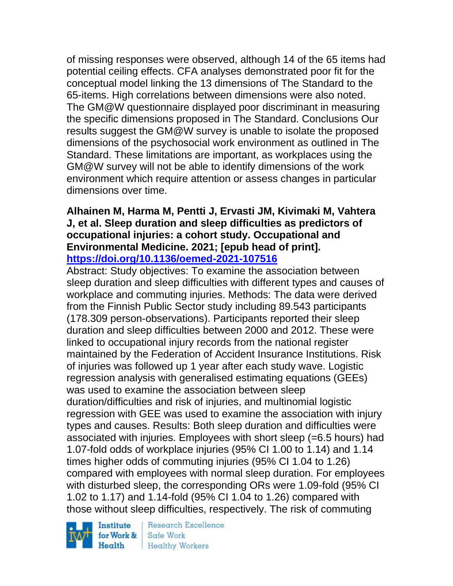of missing responses were observed, although 14 of the 65 items had potential ceiling effects. CFA analyses demonstrated poor fit for the conceptual model linking the 13 dimensions of The Standard to the 65-items. High correlations between dimensions were also noted. The GM@W questionnaire displayed poor discriminant in measuring the specific dimensions proposed in The Standard. Conclusions Our results suggest the GM@W survey is unable to isolate the proposed dimensions of the psychosocial work environment as outlined in The Standard. These limitations are important, as workplaces using the GM@W survey will not be able to identify dimensions of the work environment which require attention or assess changes in particular dimensions over time.

#### **Alhainen M, Harma M, Pentti J, Ervasti JM, Kivimaki M, Vahtera J, et al. Sleep duration and sleep difficulties as predictors of occupational injuries: a cohort study. Occupational and Environmental Medicine. 2021; [epub head of print]. <https://doi.org/10.1136/oemed-2021-107516>**

Abstract: Study objectives: To examine the association between sleep duration and sleep difficulties with different types and causes of workplace and commuting injuries. Methods: The data were derived from the Finnish Public Sector study including 89.543 participants (178.309 person-observations). Participants reported their sleep duration and sleep difficulties between 2000 and 2012. These were linked to occupational injury records from the national register maintained by the Federation of Accident Insurance Institutions. Risk of injuries was followed up 1 year after each study wave. Logistic regression analysis with generalised estimating equations (GEEs) was used to examine the association between sleep duration/difficulties and risk of injuries, and multinomial logistic regression with GEE was used to examine the association with injury types and causes. Results: Both sleep duration and difficulties were associated with injuries. Employees with short sleep (=6.5 hours) had 1.07-fold odds of workplace injuries (95% CI 1.00 to 1.14) and 1.14 times higher odds of commuting injuries (95% CI 1.04 to 1.26) compared with employees with normal sleep duration. For employees with disturbed sleep, the corresponding ORs were 1.09-fold (95% CI 1.02 to 1.17) and 1.14-fold (95% CI 1.04 to 1.26) compared with those without sleep difficulties, respectively. The risk of commuting

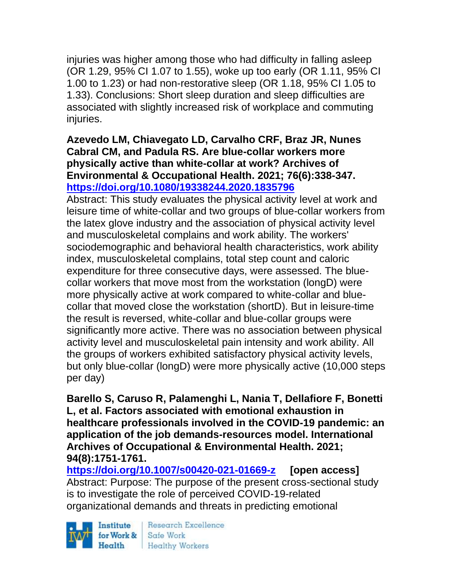injuries was higher among those who had difficulty in falling asleep (OR 1.29, 95% CI 1.07 to 1.55), woke up too early (OR 1.11, 95% CI 1.00 to 1.23) or had non-restorative sleep (OR 1.18, 95% CI 1.05 to 1.33). Conclusions: Short sleep duration and sleep difficulties are associated with slightly increased risk of workplace and commuting injuries.

### **Azevedo LM, Chiavegato LD, Carvalho CRF, Braz JR, Nunes Cabral CM, and Padula RS. Are blue-collar workers more physically active than white-collar at work? Archives of Environmental & Occupational Health. 2021; 76(6):338-347. <https://doi.org/10.1080/19338244.2020.1835796>**

Abstract: This study evaluates the physical activity level at work and leisure time of white-collar and two groups of blue-collar workers from the latex glove industry and the association of physical activity level and musculoskeletal complains and work ability. The workers' sociodemographic and behavioral health characteristics, work ability index, musculoskeletal complains, total step count and caloric expenditure for three consecutive days, were assessed. The bluecollar workers that move most from the workstation (longD) were more physically active at work compared to white-collar and bluecollar that moved close the workstation (shortD). But in leisure-time the result is reversed, white-collar and blue-collar groups were significantly more active. There was no association between physical activity level and musculoskeletal pain intensity and work ability. All the groups of workers exhibited satisfactory physical activity levels, but only blue-collar (longD) were more physically active (10,000 steps per day)

**Barello S, Caruso R, Palamenghi L, Nania T, Dellafiore F, Bonetti L, et al. Factors associated with emotional exhaustion in healthcare professionals involved in the COVID-19 pandemic: an application of the job demands-resources model. International Archives of Occupational & Environmental Health. 2021; 94(8):1751-1761.** 

**<https://doi.org/10.1007/s00420-021-01669-z> [open access]** Abstract: Purpose: The purpose of the present cross-sectional study is to investigate the role of perceived COVID-19-related organizational demands and threats in predicting emotional

Institute  $Heath$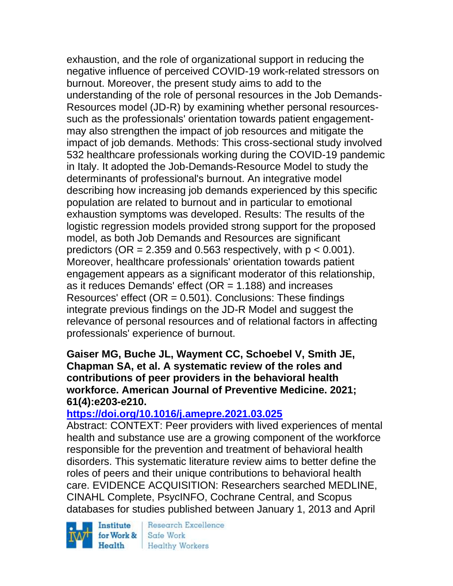exhaustion, and the role of organizational support in reducing the negative influence of perceived COVID-19 work-related stressors on burnout. Moreover, the present study aims to add to the understanding of the role of personal resources in the Job Demands-Resources model (JD-R) by examining whether personal resourcessuch as the professionals' orientation towards patient engagementmay also strengthen the impact of job resources and mitigate the impact of job demands. Methods: This cross-sectional study involved 532 healthcare professionals working during the COVID-19 pandemic in Italy. It adopted the Job-Demands-Resource Model to study the determinants of professional's burnout. An integrative model describing how increasing job demands experienced by this specific population are related to burnout and in particular to emotional exhaustion symptoms was developed. Results: The results of the logistic regression models provided strong support for the proposed model, as both Job Demands and Resources are significant predictors (OR = 2.359 and 0.563 respectively, with  $p < 0.001$ ). Moreover, healthcare professionals' orientation towards patient engagement appears as a significant moderator of this relationship, as it reduces Demands' effect  $(OR = 1.188)$  and increases Resources' effect ( $OR = 0.501$ ). Conclusions: These findings integrate previous findings on the JD-R Model and suggest the relevance of personal resources and of relational factors in affecting professionals' experience of burnout.

**Gaiser MG, Buche JL, Wayment CC, Schoebel V, Smith JE, Chapman SA, et al. A systematic review of the roles and contributions of peer providers in the behavioral health workforce. American Journal of Preventive Medicine. 2021; 61(4):e203-e210.** 

# **<https://doi.org/10.1016/j.amepre.2021.03.025>**

Abstract: CONTEXT: Peer providers with lived experiences of mental health and substance use are a growing component of the workforce responsible for the prevention and treatment of behavioral health disorders. This systematic literature review aims to better define the roles of peers and their unique contributions to behavioral health care. EVIDENCE ACQUISITION: Researchers searched MEDLINE, CINAHL Complete, PsycINFO, Cochrane Central, and Scopus databases for studies published between January 1, 2013 and April

Institute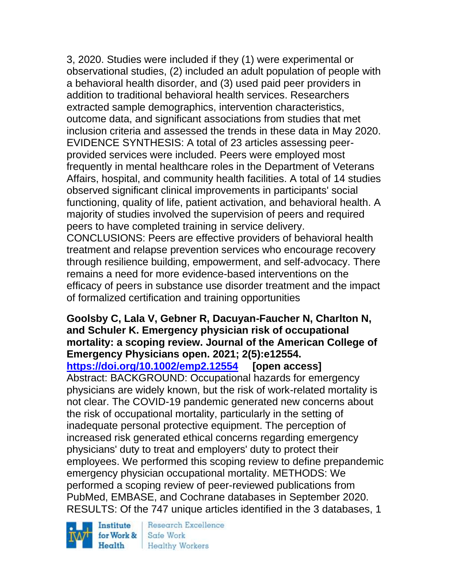3, 2020. Studies were included if they (1) were experimental or observational studies, (2) included an adult population of people with a behavioral health disorder, and (3) used paid peer providers in addition to traditional behavioral health services. Researchers extracted sample demographics, intervention characteristics, outcome data, and significant associations from studies that met inclusion criteria and assessed the trends in these data in May 2020. EVIDENCE SYNTHESIS: A total of 23 articles assessing peerprovided services were included. Peers were employed most frequently in mental healthcare roles in the Department of Veterans Affairs, hospital, and community health facilities. A total of 14 studies observed significant clinical improvements in participants' social functioning, quality of life, patient activation, and behavioral health. A majority of studies involved the supervision of peers and required peers to have completed training in service delivery.

CONCLUSIONS: Peers are effective providers of behavioral health treatment and relapse prevention services who encourage recovery through resilience building, empowerment, and self-advocacy. There remains a need for more evidence-based interventions on the efficacy of peers in substance use disorder treatment and the impact of formalized certification and training opportunities

#### **Goolsby C, Lala V, Gebner R, Dacuyan-Faucher N, Charlton N, and Schuler K. Emergency physician risk of occupational mortality: a scoping review. Journal of the American College of Emergency Physicians open. 2021; 2(5):e12554.**

**<https://doi.org/10.1002/emp2.12554> [open access]**

Abstract: BACKGROUND: Occupational hazards for emergency physicians are widely known, but the risk of work-related mortality is not clear. The COVID-19 pandemic generated new concerns about the risk of occupational mortality, particularly in the setting of inadequate personal protective equipment. The perception of increased risk generated ethical concerns regarding emergency physicians' duty to treat and employers' duty to protect their employees. We performed this scoping review to define prepandemic emergency physician occupational mortality. METHODS: We performed a scoping review of peer-reviewed publications from PubMed, EMBASE, and Cochrane databases in September 2020. RESULTS: Of the 747 unique articles identified in the 3 databases, 1

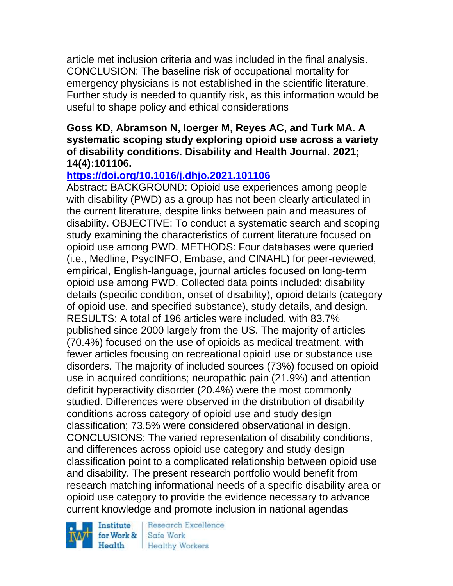article met inclusion criteria and was included in the final analysis. CONCLUSION: The baseline risk of occupational mortality for emergency physicians is not established in the scientific literature. Further study is needed to quantify risk, as this information would be useful to shape policy and ethical considerations

#### **Goss KD, Abramson N, Ioerger M, Reyes AC, and Turk MA. A systematic scoping study exploring opioid use across a variety of disability conditions. Disability and Health Journal. 2021; 14(4):101106.**

# **<https://doi.org/10.1016/j.dhjo.2021.101106>**

Abstract: BACKGROUND: Opioid use experiences among people with disability (PWD) as a group has not been clearly articulated in the current literature, despite links between pain and measures of disability. OBJECTIVE: To conduct a systematic search and scoping study examining the characteristics of current literature focused on opioid use among PWD. METHODS: Four databases were queried (i.e., Medline, PsycINFO, Embase, and CINAHL) for peer-reviewed, empirical, English-language, journal articles focused on long-term opioid use among PWD. Collected data points included: disability details (specific condition, onset of disability), opioid details (category of opioid use, and specified substance), study details, and design. RESULTS: A total of 196 articles were included, with 83.7% published since 2000 largely from the US. The majority of articles (70.4%) focused on the use of opioids as medical treatment, with fewer articles focusing on recreational opioid use or substance use disorders. The majority of included sources (73%) focused on opioid use in acquired conditions; neuropathic pain (21.9%) and attention deficit hyperactivity disorder (20.4%) were the most commonly studied. Differences were observed in the distribution of disability conditions across category of opioid use and study design classification; 73.5% were considered observational in design. CONCLUSIONS: The varied representation of disability conditions, and differences across opioid use category and study design classification point to a complicated relationship between opioid use and disability. The present research portfolio would benefit from research matching informational needs of a specific disability area or opioid use category to provide the evidence necessary to advance current knowledge and promote inclusion in national agendas

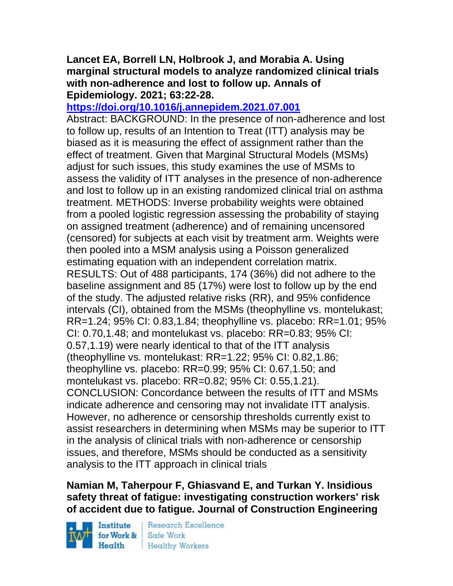#### **Lancet EA, Borrell LN, Holbrook J, and Morabia A. Using marginal structural models to analyze randomized clinical trials with non-adherence and lost to follow up. Annals of Epidemiology. 2021; 63:22-28.**

### **<https://doi.org/10.1016/j.annepidem.2021.07.001>**

Abstract: BACKGROUND: In the presence of non-adherence and lost to follow up, results of an Intention to Treat (ITT) analysis may be biased as it is measuring the effect of assignment rather than the effect of treatment. Given that Marginal Structural Models (MSMs) adjust for such issues, this study examines the use of MSMs to assess the validity of ITT analyses in the presence of non-adherence and lost to follow up in an existing randomized clinical trial on asthma treatment. METHODS: Inverse probability weights were obtained from a pooled logistic regression assessing the probability of staying on assigned treatment (adherence) and of remaining uncensored (censored) for subjects at each visit by treatment arm. Weights were then pooled into a MSM analysis using a Poisson generalized estimating equation with an independent correlation matrix. RESULTS: Out of 488 participants, 174 (36%) did not adhere to the baseline assignment and 85 (17%) were lost to follow up by the end of the study. The adjusted relative risks (RR), and 95% confidence intervals (CI), obtained from the MSMs (theophylline vs. montelukast; RR=1.24; 95% CI: 0.83,1.84; theophylline vs. placebo: RR=1.01; 95% CI: 0.70,1.48; and montelukast vs. placebo: RR=0.83; 95% CI: 0.57,1.19) were nearly identical to that of the ITT analysis (theophylline vs. montelukast: RR=1.22; 95% CI: 0.82,1.86; theophylline vs. placebo: RR=0.99; 95% CI: 0.67,1.50; and montelukast vs. placebo: RR=0.82; 95% CI: 0.55,1.21). CONCLUSION: Concordance between the results of ITT and MSMs indicate adherence and censoring may not invalidate ITT analysis. However, no adherence or censorship thresholds currently exist to assist researchers in determining when MSMs may be superior to ITT in the analysis of clinical trials with non-adherence or censorship issues, and therefore, MSMs should be conducted as a sensitivity analysis to the ITT approach in clinical trials

# **Namian M, Taherpour F, Ghiasvand E, and Turkan Y. Insidious safety threat of fatigue: investigating construction workers' risk of accident due to fatigue. Journal of Construction Engineering**

Institute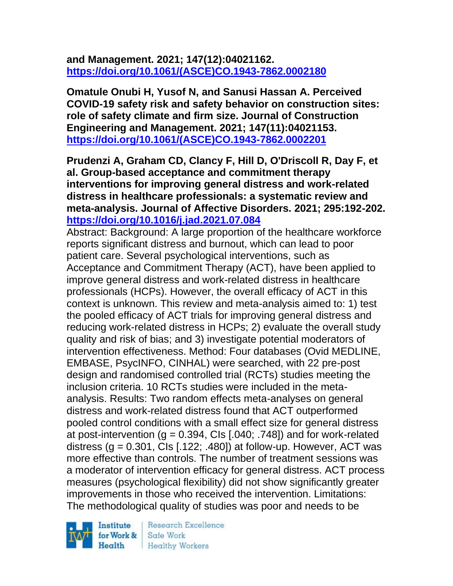### **and Management. 2021; 147(12):04021162. [https://doi.org/10.1061/\(ASCE\)CO.1943-7862.0002180](https://doi.org/10.1061/(ASCE)CO.1943-7862.0002180)**

**Omatule Onubi H, Yusof N, and Sanusi Hassan A. Perceived COVID-19 safety risk and safety behavior on construction sites: role of safety climate and firm size. Journal of Construction Engineering and Management. 2021; 147(11):04021153. [https://doi.org/10.1061/\(ASCE\)CO.1943-7862.0002201](https://doi.org/10.1061/(ASCE)CO.1943-7862.0002201)** 

**Prudenzi A, Graham CD, Clancy F, Hill D, O'Driscoll R, Day F, et al. Group-based acceptance and commitment therapy interventions for improving general distress and work-related distress in healthcare professionals: a systematic review and meta-analysis. Journal of Affective Disorders. 2021; 295:192-202. <https://doi.org/10.1016/j.jad.2021.07.084>** 

Abstract: Background: A large proportion of the healthcare workforce reports significant distress and burnout, which can lead to poor patient care. Several psychological interventions, such as Acceptance and Commitment Therapy (ACT), have been applied to improve general distress and work-related distress in healthcare professionals (HCPs). However, the overall efficacy of ACT in this context is unknown. This review and meta-analysis aimed to: 1) test the pooled efficacy of ACT trials for improving general distress and reducing work-related distress in HCPs; 2) evaluate the overall study quality and risk of bias; and 3) investigate potential moderators of intervention effectiveness. Method: Four databases (Ovid MEDLINE, EMBASE, PsycINFO, CINHAL) were searched, with 22 pre-post design and randomised controlled trial (RCTs) studies meeting the inclusion criteria. 10 RCTs studies were included in the metaanalysis. Results: Two random effects meta-analyses on general distress and work-related distress found that ACT outperformed pooled control conditions with a small effect size for general distress at post-intervention (g =  $0.394$ , Cls [.040; .748]) and for work-related distress ( $q = 0.301$ , Cls [.122; .480]) at follow-up. However, ACT was more effective than controls. The number of treatment sessions was a moderator of intervention efficacy for general distress. ACT process measures (psychological flexibility) did not show significantly greater improvements in those who received the intervention. Limitations: The methodological quality of studies was poor and needs to be

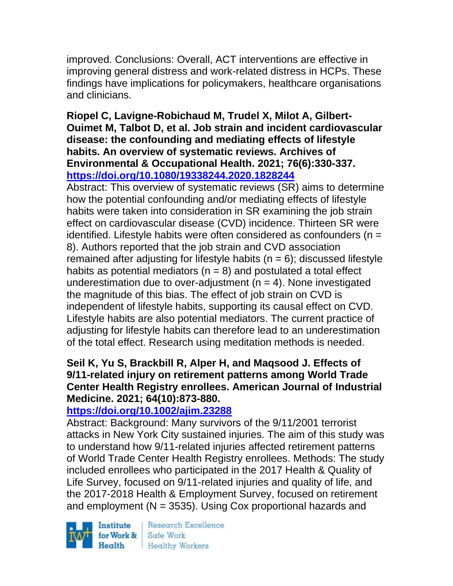improved. Conclusions: Overall, ACT interventions are effective in improving general distress and work-related distress in HCPs. These findings have implications for policymakers, healthcare organisations and clinicians.

### **Riopel C, Lavigne-Robichaud M, Trudel X, Milot A, Gilbert-Ouimet M, Talbot D, et al. Job strain and incident cardiovascular disease: the confounding and mediating effects of lifestyle habits. An overview of systematic reviews. Archives of Environmental & Occupational Health. 2021; 76(6):330-337. <https://doi.org/10.1080/19338244.2020.1828244>**

Abstract: This overview of systematic reviews (SR) aims to determine how the potential confounding and/or mediating effects of lifestyle habits were taken into consideration in SR examining the job strain effect on cardiovascular disease (CVD) incidence. Thirteen SR were identified. Lifestyle habits were often considered as confounders (n = 8). Authors reported that the job strain and CVD association remained after adjusting for lifestyle habits  $(n = 6)$ ; discussed lifestyle habits as potential mediators ( $n = 8$ ) and postulated a total effect underestimation due to over-adjustment  $(n = 4)$ . None investigated the magnitude of this bias. The effect of job strain on CVD is independent of lifestyle habits, supporting its causal effect on CVD. Lifestyle habits are also potential mediators. The current practice of adjusting for lifestyle habits can therefore lead to an underestimation of the total effect. Research using meditation methods is needed.

# **Seil K, Yu S, Brackbill R, Alper H, and Maqsood J. Effects of 9/11-related injury on retirement patterns among World Trade Center Health Registry enrollees. American Journal of Industrial Medicine. 2021; 64(10):873-880.**

# **<https://doi.org/10.1002/ajim.23288>**

Abstract: Background: Many survivors of the 9/11/2001 terrorist attacks in New York City sustained injuries. The aim of this study was to understand how 9/11-related injuries affected retirement patterns of World Trade Center Health Registry enrollees. Methods: The study included enrollees who participated in the 2017 Health & Quality of Life Survey, focused on 9/11-related injuries and quality of life, and the 2017-2018 Health & Employment Survey, focused on retirement and employment ( $N = 3535$ ). Using Cox proportional hazards and

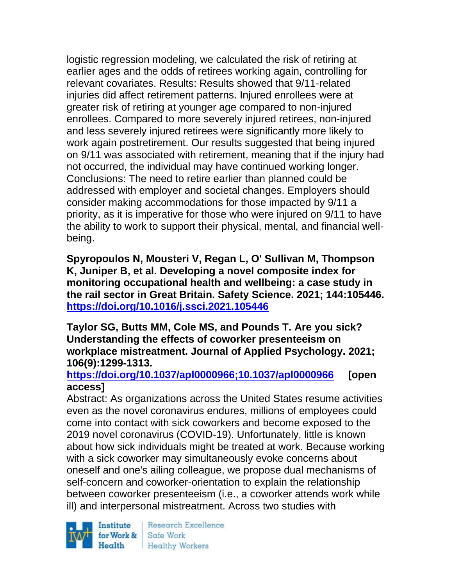logistic regression modeling, we calculated the risk of retiring at earlier ages and the odds of retirees working again, controlling for relevant covariates. Results: Results showed that 9/11-related injuries did affect retirement patterns. Injured enrollees were at greater risk of retiring at younger age compared to non-injured enrollees. Compared to more severely injured retirees, non-injured and less severely injured retirees were significantly more likely to work again postretirement. Our results suggested that being injured on 9/11 was associated with retirement, meaning that if the injury had not occurred, the individual may have continued working longer. Conclusions: The need to retire earlier than planned could be addressed with employer and societal changes. Employers should consider making accommodations for those impacted by 9/11 a priority, as it is imperative for those who were injured on 9/11 to have the ability to work to support their physical, mental, and financial wellbeing.

**Spyropoulos N, Mousteri V, Regan L, O' Sullivan M, Thompson K, Juniper B, et al. Developing a novel composite index for monitoring occupational health and wellbeing: a case study in the rail sector in Great Britain. Safety Science. 2021; 144:105446. <https://doi.org/10.1016/j.ssci.2021.105446>** 

**Taylor SG, Butts MM, Cole MS, and Pounds T. Are you sick? Understanding the effects of coworker presenteeism on workplace mistreatment. Journal of Applied Psychology. 2021; 106(9):1299-1313.** 

### **<https://doi.org/10.1037/apl0000966;10.1037/apl0000966> [open access]**

Abstract: As organizations across the United States resume activities even as the novel coronavirus endures, millions of employees could come into contact with sick coworkers and become exposed to the 2019 novel coronavirus (COVID-19). Unfortunately, little is known about how sick individuals might be treated at work. Because working with a sick coworker may simultaneously evoke concerns about oneself and one's ailing colleague, we propose dual mechanisms of self-concern and coworker-orientation to explain the relationship between coworker presenteeism (i.e., a coworker attends work while ill) and interpersonal mistreatment. Across two studies with